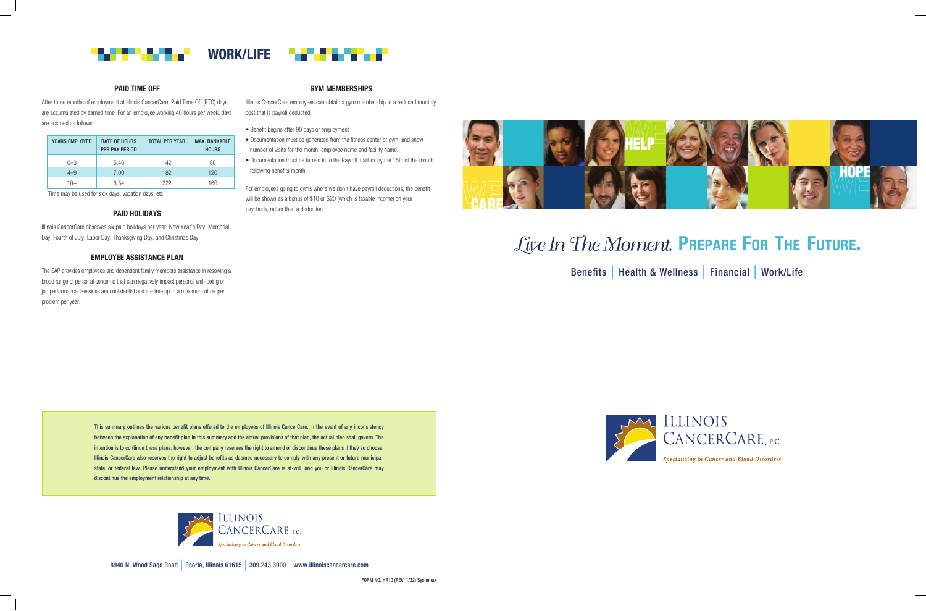

#### PAID TIME OFF

After three months of employment at Illinois CancerCare, Paid Time Off (PTO) days are accumulated by earned time. For an employee working 40 hours per week, days are accrued as follows:

Time may be used for sick days, vacation days, etc.

#### PAID HOLIDAYS

Illinois CancerCare observes six paid holidays per year: New Year's Day, Memorial Day, Fourth of July, Labor Day, Thanksgiving Day, and Christmas Day.

#### EMPLOYEE ASSISTANCE PLAN

The EAP provides employees and dependent family members assistance in resolving a broad range of personal concerns that can negatively impact personal well-being or job performance. Sessions are confidential and are free up to a maximum of six per problem per year.

#### GYM MEMBERSHIPS

Illinois CancerCare employees can obtain a gym membership at a reduced monthly cost that is payroll deducted.

• Benefit begins after 90 days of employment

- Documentation must be generated from the fitness center or gym, and show number of visits for the month, employee name and facility name.
- Documentation must be turned in to the Payroll mailbox by the 15th of the month following benefits month.

For employees going to gyms where we don't have payroll deductions, the benefit will be shown as a bonus of \$10 or \$20 (which is taxable income) on your paycheck, rather than a deduction.



# Live In The Moment. PREPARE FOR THE FUTURE.





| <b>YEARS EMPLOYED</b> | <b>RATE OF HOURS</b><br>PER PAY PERIOD | <b>TOTAL PER YEAR</b> | <b>MAX. BANKABLE</b><br><b>HOURS</b> |
|-----------------------|----------------------------------------|-----------------------|--------------------------------------|
| $0 - 3$               | 5.46                                   | 142                   | 80                                   |
| $4 - 9$               | 7.00                                   | 182                   | 120                                  |
| 1∩+                   | 8.54                                   | 222                   | 160                                  |

This summary outlines the various benefit plans offered to the employees of Illinois CancerCare. In the event of any inconsistency between the explanation of any benefit plan in this summary and the actual provisions of that plan, the actual plan shall govern. The intention is to continue these plans, however, the company reserves the right to amend or discontinue these plans if they so choose. Illinois CancerCare also reserves the right to adjust benefits as deemed necessary to comply with any present or future municipal, state, or federal law. Please understand your employment with Illinois CancerCare is at-will, and you or Illinois CancerCare may discontinue the employment relationship at any time.



Benefits | Health & Wellness | Financial | Work/Life